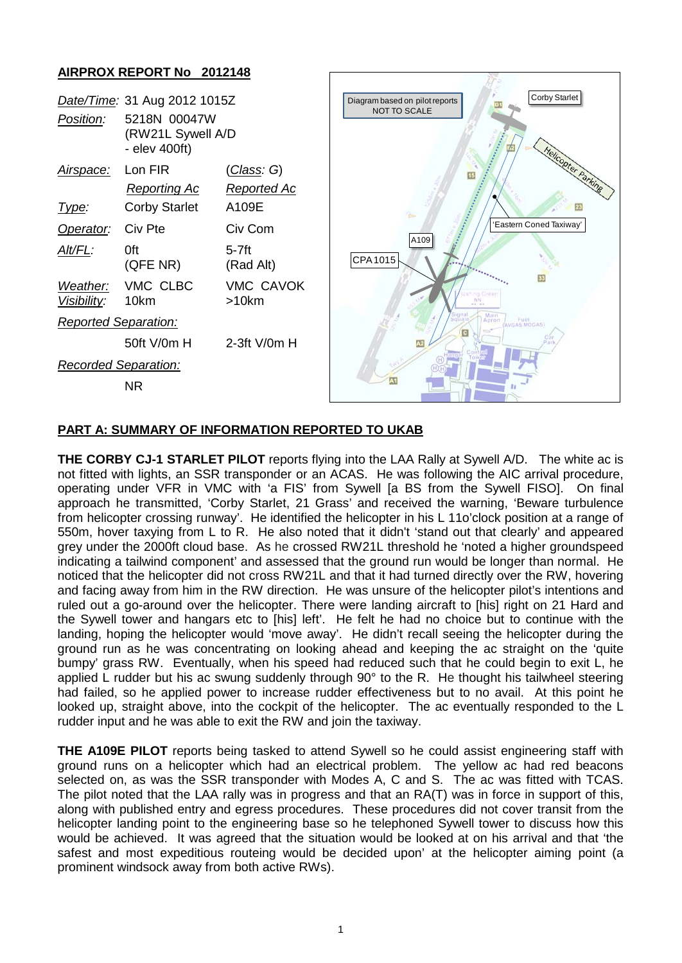## **AIRPROX REPORT No 2012148**

| Date/Time: 31 Aug 2012 1015Z |                                                    |                              |
|------------------------------|----------------------------------------------------|------------------------------|
| Position:                    | 5218N 00047W<br>(RW21L Sywell A/D<br>- elev 400ft) |                              |
| Air <u>space:</u>            | Lon FIR                                            | <u>(Class</u> : G)           |
|                              | Reporting Ac                                       | Reported Ac                  |
| <u> I ype:</u>               | <b>Corby Starlet</b>                               | A109E                        |
| Operator: Civ Pte            |                                                    | Civ Com                      |
| Alt/FL:                      | 0ft<br>(QFE NR)                                    | 5-7ft<br>(Rad Alt)           |
| Visibility: 10km             | Weather: VMC CLBC                                  | <b>VMC CAVOK</b><br>$>10$ km |
| <b>Reported Separation:</b>  |                                                    |                              |
|                              | 50ft V/0m H                                        | $2-3$ ft V/0m H              |
| Recorded Separation:         |                                                    |                              |
|                              | NR                                                 |                              |



## **PART A: SUMMARY OF INFORMATION REPORTED TO UKAB**

**THE CORBY CJ-1 STARLET PILOT** reports flying into the LAA Rally at Sywell A/D. The white ac is not fitted with lights, an SSR transponder or an ACAS. He was following the AIC arrival procedure, operating under VFR in VMC with 'a FIS' from Sywell [a BS from the Sywell FISO]. On final approach he transmitted, 'Corby Starlet, 21 Grass' and received the warning, 'Beware turbulence from helicopter crossing runway'. He identified the helicopter in his L 11o'clock position at a range of 550m, hover taxying from L to R. He also noted that it didn't 'stand out that clearly' and appeared grey under the 2000ft cloud base. As he crossed RW21L threshold he 'noted a higher groundspeed indicating a tailwind component' and assessed that the ground run would be longer than normal. He noticed that the helicopter did not cross RW21L and that it had turned directly over the RW, hovering and facing away from him in the RW direction. He was unsure of the helicopter pilot's intentions and ruled out a go-around over the helicopter. There were landing aircraft to [his] right on 21 Hard and the Sywell tower and hangars etc to [his] left'. He felt he had no choice but to continue with the landing, hoping the helicopter would 'move away'. He didn't recall seeing the helicopter during the ground run as he was concentrating on looking ahead and keeping the ac straight on the 'quite bumpy' grass RW. Eventually, when his speed had reduced such that he could begin to exit L, he applied L rudder but his ac swung suddenly through 90° to the R. He thought his tailwheel steering had failed, so he applied power to increase rudder effectiveness but to no avail. At this point he looked up, straight above, into the cockpit of the helicopter. The ac eventually responded to the L rudder input and he was able to exit the RW and join the taxiway.

**THE A109E PILOT** reports being tasked to attend Sywell so he could assist engineering staff with ground runs on a helicopter which had an electrical problem. The yellow ac had red beacons selected on, as was the SSR transponder with Modes A, C and S. The ac was fitted with TCAS. The pilot noted that the LAA rally was in progress and that an RA(T) was in force in support of this, along with published entry and egress procedures. These procedures did not cover transit from the helicopter landing point to the engineering base so he telephoned Sywell tower to discuss how this would be achieved. It was agreed that the situation would be looked at on his arrival and that 'the safest and most expeditious routeing would be decided upon' at the helicopter aiming point (a prominent windsock away from both active RWs).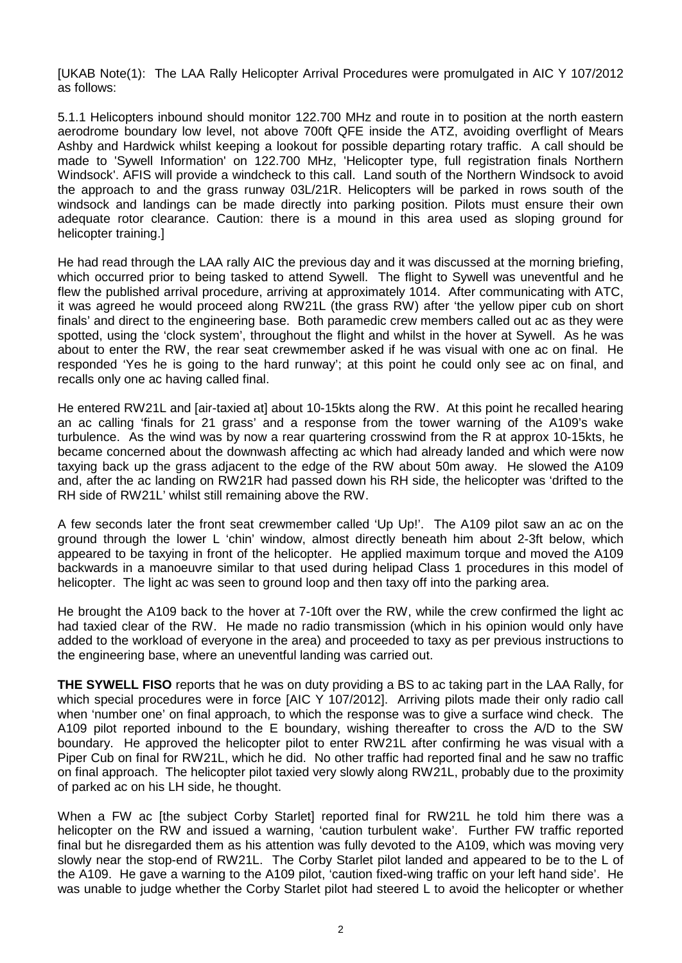[UKAB Note(1): The LAA Rally Helicopter Arrival Procedures were promulgated in AIC Y 107/2012 as follows:

5.1.1 Helicopters inbound should monitor 122.700 MHz and route in to position at the north eastern aerodrome boundary low level, not above 700ft QFE inside the ATZ, avoiding overflight of Mears Ashby and Hardwick whilst keeping a lookout for possible departing rotary traffic. A call should be made to 'Sywell Information' on 122.700 MHz, 'Helicopter type, full registration finals Northern Windsock'. AFIS will provide a windcheck to this call. Land south of the Northern Windsock to avoid the approach to and the grass runway 03L/21R. Helicopters will be parked in rows south of the windsock and landings can be made directly into parking position. Pilots must ensure their own adequate rotor clearance. Caution: there is a mound in this area used as sloping ground for helicopter training.]

He had read through the LAA rally AIC the previous day and it was discussed at the morning briefing, which occurred prior to being tasked to attend Sywell. The flight to Sywell was uneventful and he flew the published arrival procedure, arriving at approximately 1014. After communicating with ATC, it was agreed he would proceed along RW21L (the grass RW) after 'the yellow piper cub on short finals' and direct to the engineering base. Both paramedic crew members called out ac as they were spotted, using the 'clock system', throughout the flight and whilst in the hover at Sywell. As he was about to enter the RW, the rear seat crewmember asked if he was visual with one ac on final. He responded 'Yes he is going to the hard runway'; at this point he could only see ac on final, and recalls only one ac having called final.

He entered RW21L and [air-taxied at] about 10-15kts along the RW. At this point he recalled hearing an ac calling 'finals for 21 grass' and a response from the tower warning of the A109's wake turbulence. As the wind was by now a rear quartering crosswind from the R at approx 10-15kts, he became concerned about the downwash affecting ac which had already landed and which were now taxying back up the grass adjacent to the edge of the RW about 50m away. He slowed the A109 and, after the ac landing on RW21R had passed down his RH side, the helicopter was 'drifted to the RH side of RW21L' whilst still remaining above the RW.

A few seconds later the front seat crewmember called 'Up Up!'. The A109 pilot saw an ac on the ground through the lower L 'chin' window, almost directly beneath him about 2-3ft below, which appeared to be taxying in front of the helicopter. He applied maximum torque and moved the A109 backwards in a manoeuvre similar to that used during helipad Class 1 procedures in this model of helicopter. The light ac was seen to ground loop and then taxy off into the parking area.

He brought the A109 back to the hover at 7-10ft over the RW, while the crew confirmed the light ac had taxied clear of the RW. He made no radio transmission (which in his opinion would only have added to the workload of everyone in the area) and proceeded to taxy as per previous instructions to the engineering base, where an uneventful landing was carried out.

**THE SYWELL FISO** reports that he was on duty providing a BS to ac taking part in the LAA Rally, for which special procedures were in force [AIC Y 107/2012]. Arriving pilots made their only radio call when 'number one' on final approach, to which the response was to give a surface wind check. The A109 pilot reported inbound to the E boundary, wishing thereafter to cross the A/D to the SW boundary. He approved the helicopter pilot to enter RW21L after confirming he was visual with a Piper Cub on final for RW21L, which he did. No other traffic had reported final and he saw no traffic on final approach. The helicopter pilot taxied very slowly along RW21L, probably due to the proximity of parked ac on his LH side, he thought.

When a FW ac [the subject Corby Starlet] reported final for RW21L he told him there was a helicopter on the RW and issued a warning, 'caution turbulent wake'. Further FW traffic reported final but he disregarded them as his attention was fully devoted to the A109, which was moving very slowly near the stop-end of RW21L. The Corby Starlet pilot landed and appeared to be to the L of the A109. He gave a warning to the A109 pilot, 'caution fixed-wing traffic on your left hand side'. He was unable to judge whether the Corby Starlet pilot had steered L to avoid the helicopter or whether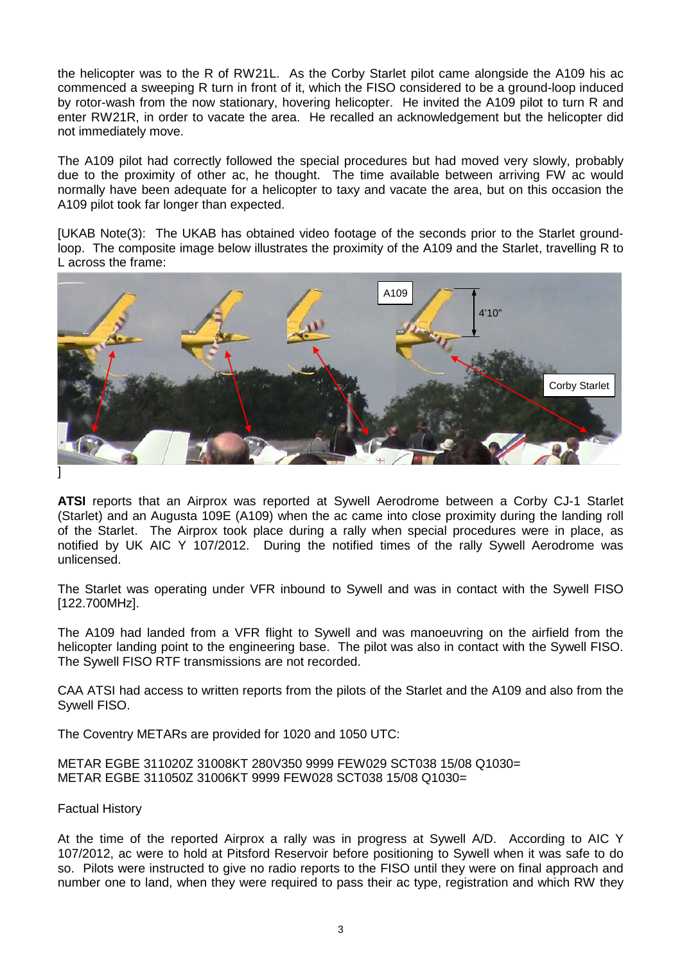the helicopter was to the R of RW21L. As the Corby Starlet pilot came alongside the A109 his ac commenced a sweeping R turn in front of it, which the FISO considered to be a ground-loop induced by rotor-wash from the now stationary, hovering helicopter. He invited the A109 pilot to turn R and enter RW21R, in order to vacate the area. He recalled an acknowledgement but the helicopter did not immediately move.

The A109 pilot had correctly followed the special procedures but had moved very slowly, probably due to the proximity of other ac, he thought. The time available between arriving FW ac would normally have been adequate for a helicopter to taxy and vacate the area, but on this occasion the A109 pilot took far longer than expected.

[UKAB Note(3): The UKAB has obtained video footage of the seconds prior to the Starlet groundloop. The composite image below illustrates the proximity of the A109 and the Starlet, travelling R to L across the frame:



**ATSI** reports that an Airprox was reported at Sywell Aerodrome between a Corby CJ-1 Starlet (Starlet) and an Augusta 109E (A109) when the ac came into close proximity during the landing roll of the Starlet. The Airprox took place during a rally when special procedures were in place, as notified by UK AIC Y 107/2012. During the notified times of the rally Sywell Aerodrome was unlicensed.

The Starlet was operating under VFR inbound to Sywell and was in contact with the Sywell FISO [122.700MHz].

The A109 had landed from a VFR flight to Sywell and was manoeuvring on the airfield from the helicopter landing point to the engineering base. The pilot was also in contact with the Sywell FISO. The Sywell FISO RTF transmissions are not recorded.

CAA ATSI had access to written reports from the pilots of the Starlet and the A109 and also from the Sywell FISO.

The Coventry METARs are provided for 1020 and 1050 UTC:

METAR EGBE 311020Z 31008KT 280V350 9999 FEW029 SCT038 15/08 Q1030= METAR EGBE 311050Z 31006KT 9999 FEW028 SCT038 15/08 Q1030=

Factual History

At the time of the reported Airprox a rally was in progress at Sywell A/D. According to AIC Y 107/2012, ac were to hold at Pitsford Reservoir before positioning to Sywell when it was safe to do so. Pilots were instructed to give no radio reports to the FISO until they were on final approach and number one to land, when they were required to pass their ac type, registration and which RW they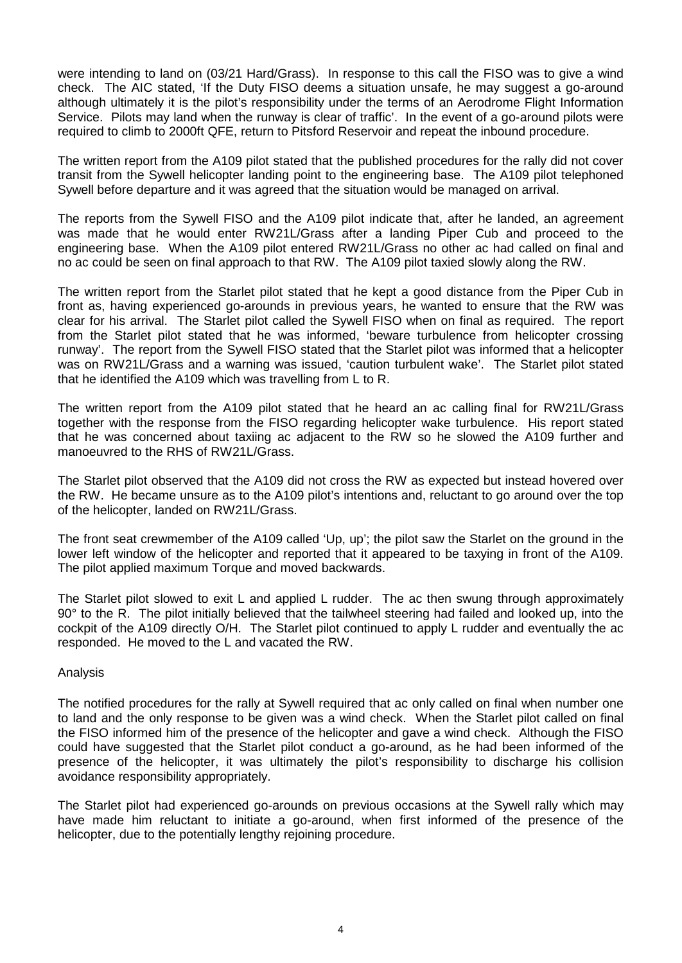were intending to land on (03/21 Hard/Grass). In response to this call the FISO was to give a wind check. The AIC stated, 'If the Duty FISO deems a situation unsafe, he may suggest a go-around although ultimately it is the pilot's responsibility under the terms of an Aerodrome Flight Information Service. Pilots may land when the runway is clear of traffic'. In the event of a go-around pilots were required to climb to 2000ft QFE, return to Pitsford Reservoir and repeat the inbound procedure.

The written report from the A109 pilot stated that the published procedures for the rally did not cover transit from the Sywell helicopter landing point to the engineering base. The A109 pilot telephoned Sywell before departure and it was agreed that the situation would be managed on arrival.

The reports from the Sywell FISO and the A109 pilot indicate that, after he landed, an agreement was made that he would enter RW21L/Grass after a landing Piper Cub and proceed to the engineering base. When the A109 pilot entered RW21L/Grass no other ac had called on final and no ac could be seen on final approach to that RW. The A109 pilot taxied slowly along the RW.

The written report from the Starlet pilot stated that he kept a good distance from the Piper Cub in front as, having experienced go-arounds in previous years, he wanted to ensure that the RW was clear for his arrival. The Starlet pilot called the Sywell FISO when on final as required. The report from the Starlet pilot stated that he was informed, 'beware turbulence from helicopter crossing runway'. The report from the Sywell FISO stated that the Starlet pilot was informed that a helicopter was on RW21L/Grass and a warning was issued, 'caution turbulent wake'. The Starlet pilot stated that he identified the A109 which was travelling from L to R.

The written report from the A109 pilot stated that he heard an ac calling final for RW21L/Grass together with the response from the FISO regarding helicopter wake turbulence. His report stated that he was concerned about taxiing ac adjacent to the RW so he slowed the A109 further and manoeuvred to the RHS of RW21L/Grass.

The Starlet pilot observed that the A109 did not cross the RW as expected but instead hovered over the RW. He became unsure as to the A109 pilot's intentions and, reluctant to go around over the top of the helicopter, landed on RW21L/Grass.

The front seat crewmember of the A109 called 'Up, up'; the pilot saw the Starlet on the ground in the lower left window of the helicopter and reported that it appeared to be taxying in front of the A109. The pilot applied maximum Torque and moved backwards.

The Starlet pilot slowed to exit L and applied L rudder. The ac then swung through approximately 90° to the R. The pilot initially believed that the tailwheel steering had failed and looked up, into the cockpit of the A109 directly O/H. The Starlet pilot continued to apply L rudder and eventually the ac responded. He moved to the L and vacated the RW.

#### Analysis

The notified procedures for the rally at Sywell required that ac only called on final when number one to land and the only response to be given was a wind check. When the Starlet pilot called on final the FISO informed him of the presence of the helicopter and gave a wind check. Although the FISO could have suggested that the Starlet pilot conduct a go-around, as he had been informed of the presence of the helicopter, it was ultimately the pilot's responsibility to discharge his collision avoidance responsibility appropriately.

The Starlet pilot had experienced go-arounds on previous occasions at the Sywell rally which may have made him reluctant to initiate a go-around, when first informed of the presence of the helicopter, due to the potentially lengthy rejoining procedure.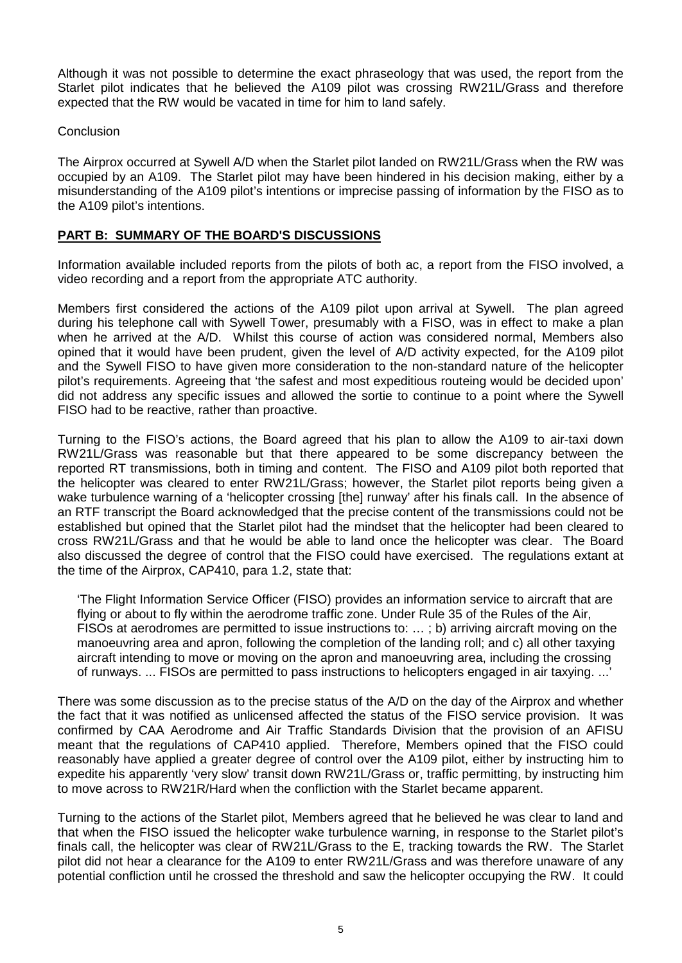Although it was not possible to determine the exact phraseology that was used, the report from the Starlet pilot indicates that he believed the A109 pilot was crossing RW21L/Grass and therefore expected that the RW would be vacated in time for him to land safely.

### Conclusion

The Airprox occurred at Sywell A/D when the Starlet pilot landed on RW21L/Grass when the RW was occupied by an A109. The Starlet pilot may have been hindered in his decision making, either by a misunderstanding of the A109 pilot's intentions or imprecise passing of information by the FISO as to the A109 pilot's intentions.

## **PART B: SUMMARY OF THE BOARD'S DISCUSSIONS**

Information available included reports from the pilots of both ac, a report from the FISO involved, a video recording and a report from the appropriate ATC authority.

Members first considered the actions of the A109 pilot upon arrival at Sywell. The plan agreed during his telephone call with Sywell Tower, presumably with a FISO, was in effect to make a plan when he arrived at the A/D. Whilst this course of action was considered normal, Members also opined that it would have been prudent, given the level of A/D activity expected, for the A109 pilot and the Sywell FISO to have given more consideration to the non-standard nature of the helicopter pilot's requirements. Agreeing that 'the safest and most expeditious routeing would be decided upon' did not address any specific issues and allowed the sortie to continue to a point where the Sywell FISO had to be reactive, rather than proactive.

Turning to the FISO's actions, the Board agreed that his plan to allow the A109 to air-taxi down RW21L/Grass was reasonable but that there appeared to be some discrepancy between the reported RT transmissions, both in timing and content. The FISO and A109 pilot both reported that the helicopter was cleared to enter RW21L/Grass; however, the Starlet pilot reports being given a wake turbulence warning of a 'helicopter crossing [the] runway' after his finals call. In the absence of an RTF transcript the Board acknowledged that the precise content of the transmissions could not be established but opined that the Starlet pilot had the mindset that the helicopter had been cleared to cross RW21L/Grass and that he would be able to land once the helicopter was clear. The Board also discussed the degree of control that the FISO could have exercised. The regulations extant at the time of the Airprox, CAP410, para 1.2, state that:

'The Flight Information Service Officer (FISO) provides an information service to aircraft that are flying or about to fly within the aerodrome traffic zone. Under Rule 35 of the Rules of the Air, FISOs at aerodromes are permitted to issue instructions to: … ; b) arriving aircraft moving on the manoeuvring area and apron, following the completion of the landing roll; and c) all other taxying aircraft intending to move or moving on the apron and manoeuvring area, including the crossing of runways. ... FISOs are permitted to pass instructions to helicopters engaged in air taxying. ...'

There was some discussion as to the precise status of the A/D on the day of the Airprox and whether the fact that it was notified as unlicensed affected the status of the FISO service provision. It was confirmed by CAA Aerodrome and Air Traffic Standards Division that the provision of an AFISU meant that the regulations of CAP410 applied. Therefore, Members opined that the FISO could reasonably have applied a greater degree of control over the A109 pilot, either by instructing him to expedite his apparently 'very slow' transit down RW21L/Grass or, traffic permitting, by instructing him to move across to RW21R/Hard when the confliction with the Starlet became apparent.

Turning to the actions of the Starlet pilot, Members agreed that he believed he was clear to land and that when the FISO issued the helicopter wake turbulence warning, in response to the Starlet pilot's finals call, the helicopter was clear of RW21L/Grass to the E, tracking towards the RW. The Starlet pilot did not hear a clearance for the A109 to enter RW21L/Grass and was therefore unaware of any potential confliction until he crossed the threshold and saw the helicopter occupying the RW. It could